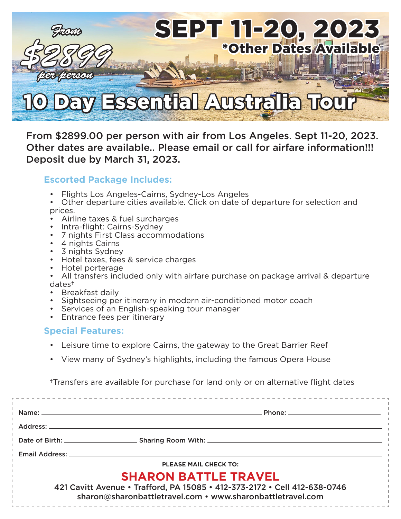

From \$2899.00 per person with air from Los Angeles. Sept 11-20, 2023. Other dates are available.. Please email or call for airfare information!!! Deposit due by March 31, 2023.

## **Escorted Package Includes:**

- Flights Los Angeles-Cairns, Sydney-Los Angeles
- Other departure cities available. Click on date of departure for selection and prices.
- Airline taxes & fuel surcharges
- Intra-flight: Cairns-Sydney
- 7 nights First Class accommodations
- 4 nights Cairns
- 3 nights Sydney
- Hotel taxes, fees & service charges
- Hotel porterage
- All transfers included only with airfare purchase on package arrival & departure dates†
- Breakfast daily
- Sightseeing per itinerary in modern air-conditioned motor coach
- Services of an English-speaking tour manager
- Entrance fees per itinerary

## **Special Features:**

- Leisure time to explore Cairns, the gateway to the Great Barrier Reef
- View many of Sydney's highlights, including the famous Opera House

†Transfers are available for purchase for land only or on alternative flight dates

| Name: and the same of the same of the same of the same of the same of the same of the same of the same of the s |                                                                                                                                         |
|-----------------------------------------------------------------------------------------------------------------|-----------------------------------------------------------------------------------------------------------------------------------------|
| Address: _______                                                                                                |                                                                                                                                         |
|                                                                                                                 |                                                                                                                                         |
| Email Address:                                                                                                  |                                                                                                                                         |
|                                                                                                                 | <b>PLEASE MAIL CHECK TO:</b>                                                                                                            |
|                                                                                                                 | <b>SHARON BATTLE TRAVEL</b>                                                                                                             |
|                                                                                                                 | 421 Cavitt Avenue • Trafford, PA 15085 • 412-373-2172 • Cell 412-638-0746<br>sharon@sharonbattletravel.com • www.sharonbattletravel.com |